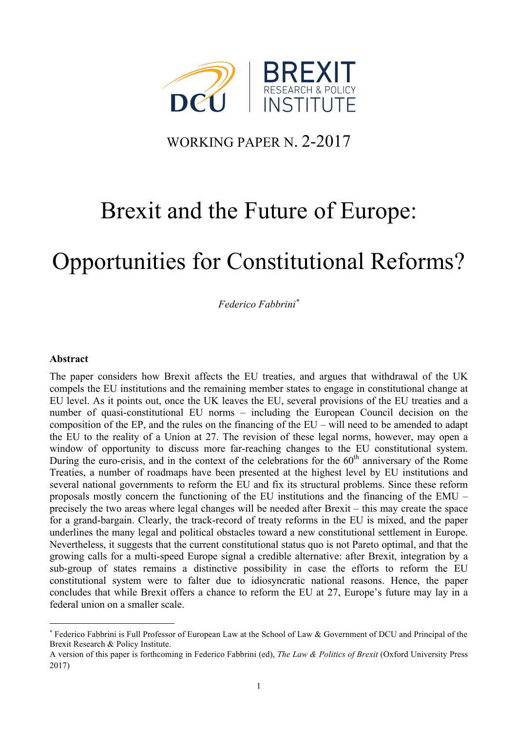

# WORKING PAPER N. 2-2017

# Brexit and the Future of Europe:

# Opportunities for Constitutional Reforms?

*Federico Fabbrini*\*

# **Abstract**

<u> 1989 - Johann Barn, mars ann an t-Amhain an t-Amhain an t-Amhain an t-Amhain an t-Amhain an t-Amhain an t-Amh</u>

The paper considers how Brexit affects the EU treaties, and argues that withdrawal of the UK compels the EU institutions and the remaining member states to engage in constitutional change at EU level. As it points out, once the UK leaves the EU, several provisions of the EU treaties and a number of quasi-constitutional EU norms – including the European Council decision on the composition of the EP, and the rules on the financing of the EU – will need to be amended to adapt the EU to the reality of a Union at 27. The revision of these legal norms, however, may open a window of opportunity to discuss more far-reaching changes to the EU constitutional system. During the euro-crisis, and in the context of the celebrations for the  $60<sup>th</sup>$  anniversary of the Rome Treaties, a number of roadmaps have been presented at the highest level by EU institutions and several national governments to reform the EU and fix its structural problems. Since these reform proposals mostly concern the functioning of the EU institutions and the financing of the EMU – precisely the two areas where legal changes will be needed after Brexit – this may create the space for a grand-bargain. Clearly, the track-record of treaty reforms in the EU is mixed, and the paper underlines the many legal and political obstacles toward a new constitutional settlement in Europe. Nevertheless, it suggests that the current constitutional status quo is not Pareto optimal, and that the growing calls for a multi-speed Europe signal a credible alternative: after Brexit, integration by a sub-group of states remains a distinctive possibility in case the efforts to reform the EU constitutional system were to falter due to idiosyncratic national reasons. Hence, the paper concludes that while Brexit offers a chance to reform the EU at 27, Europe's future may lay in a federal union on a smaller scale.

<sup>\*</sup> Federico Fabbrini is Full Professor of European Law at the School of Law & Government of DCU and Principal of the Brexit Research & Policy Institute.

A version of this paper is forthcoming in Federico Fabbrini (ed), *The Law & Politics of Brexit* (Oxford University Press 2017)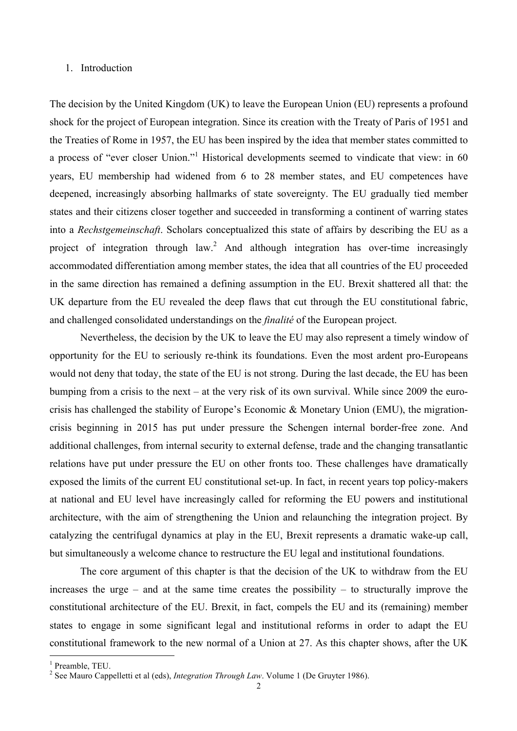# 1. Introduction

The decision by the United Kingdom (UK) to leave the European Union (EU) represents a profound shock for the project of European integration. Since its creation with the Treaty of Paris of 1951 and the Treaties of Rome in 1957, the EU has been inspired by the idea that member states committed to a process of "ever closer Union."<sup>1</sup> Historical developments seemed to vindicate that view: in 60 years, EU membership had widened from 6 to 28 member states, and EU competences have deepened, increasingly absorbing hallmarks of state sovereignty. The EU gradually tied member states and their citizens closer together and succeeded in transforming a continent of warring states into a *Rechstgemeinschaft*. Scholars conceptualized this state of affairs by describing the EU as a project of integration through law.<sup>2</sup> And although integration has over-time increasingly accommodated differentiation among member states, the idea that all countries of the EU proceeded in the same direction has remained a defining assumption in the EU. Brexit shattered all that: the UK departure from the EU revealed the deep flaws that cut through the EU constitutional fabric, and challenged consolidated understandings on the *finalité* of the European project.

Nevertheless, the decision by the UK to leave the EU may also represent a timely window of opportunity for the EU to seriously re-think its foundations. Even the most ardent pro-Europeans would not deny that today, the state of the EU is not strong. During the last decade, the EU has been bumping from a crisis to the next – at the very risk of its own survival. While since 2009 the eurocrisis has challenged the stability of Europe's Economic & Monetary Union (EMU), the migrationcrisis beginning in 2015 has put under pressure the Schengen internal border-free zone. And additional challenges, from internal security to external defense, trade and the changing transatlantic relations have put under pressure the EU on other fronts too. These challenges have dramatically exposed the limits of the current EU constitutional set-up. In fact, in recent years top policy-makers at national and EU level have increasingly called for reforming the EU powers and institutional architecture, with the aim of strengthening the Union and relaunching the integration project. By catalyzing the centrifugal dynamics at play in the EU, Brexit represents a dramatic wake-up call, but simultaneously a welcome chance to restructure the EU legal and institutional foundations.

The core argument of this chapter is that the decision of the UK to withdraw from the EU increases the urge – and at the same time creates the possibility – to structurally improve the constitutional architecture of the EU. Brexit, in fact, compels the EU and its (remaining) member states to engage in some significant legal and institutional reforms in order to adapt the EU constitutional framework to the new normal of a Union at 27. As this chapter shows, after the UK

<sup>&</sup>lt;sup>1</sup> Preamble, TEU.<br><sup>2</sup> See Mauro Cappelletti et al (eds), *Integration Through Law*. Volume 1 (De Gruyter 1986).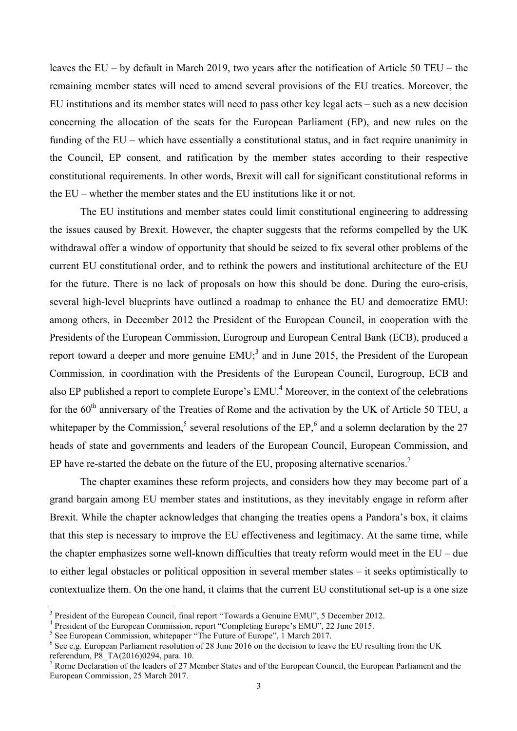leaves the EU – by default in March 2019, two years after the notification of Article 50 TEU – the remaining member states will need to amend several provisions of the EU treaties. Moreover, the EU institutions and its member states will need to pass other key legal acts – such as a new decision concerning the allocation of the seats for the European Parliament (EP), and new rules on the funding of the EU – which have essentially a constitutional status, and in fact require unanimity in the Council, EP consent, and ratification by the member states according to their respective constitutional requirements. In other words, Brexit will call for significant constitutional reforms in the EU – whether the member states and the EU institutions like it or not.

The EU institutions and member states could limit constitutional engineering to addressing the issues caused by Brexit. However, the chapter suggests that the reforms compelled by the UK withdrawal offer a window of opportunity that should be seized to fix several other problems of the current EU constitutional order, and to rethink the powers and institutional architecture of the EU for the future. There is no lack of proposals on how this should be done. During the euro-crisis, several high-level blueprints have outlined a roadmap to enhance the EU and democratize EMU: among others, in December 2012 the President of the European Council, in cooperation with the Presidents of the European Commission, Eurogroup and European Central Bank (ECB), produced a report toward a deeper and more genuine  $EMU$ ;<sup>3</sup> and in June 2015, the President of the European Commission, in coordination with the Presidents of the European Council, Eurogroup, ECB and also EP published a report to complete Europe's EMU.<sup>4</sup> Moreover, in the context of the celebrations for the  $60<sup>th</sup>$  anniversary of the Treaties of Rome and the activation by the UK of Article 50 TEU, a whitepaper by the Commission,<sup>5</sup> several resolutions of the  $EP<sub>6</sub>$  and a solemn declaration by the 27 heads of state and governments and leaders of the European Council, European Commission, and EP have re-started the debate on the future of the EU, proposing alternative scenarios.<sup>7</sup>

The chapter examines these reform projects, and considers how they may become part of a grand bargain among EU member states and institutions, as they inevitably engage in reform after Brexit. While the chapter acknowledges that changing the treaties opens a Pandora's box, it claims that this step is necessary to improve the EU effectiveness and legitimacy. At the same time, while the chapter emphasizes some well-known difficulties that treaty reform would meet in the EU – due to either legal obstacles or political opposition in several member states – it seeks optimistically to contextualize them. On the one hand, it claims that the current EU constitutional set-up is a one size

<sup>&</sup>lt;sup>3</sup> President of the European Council, final report "Towards a Genuine EMU", 5 December 2012.<br><sup>4</sup> President of the European Commission, report "Completing Europe's EMU", 22 June 2015.<br><sup>5</sup> See European Commission, whitepap referendum, P8\_TA(2016)0294, para. 10.

<sup>&</sup>lt;sup>7</sup> Rome Declaration of the leaders of 27 Member States and of the European Council, the European Parliament and the European Commission, 25 March 2017.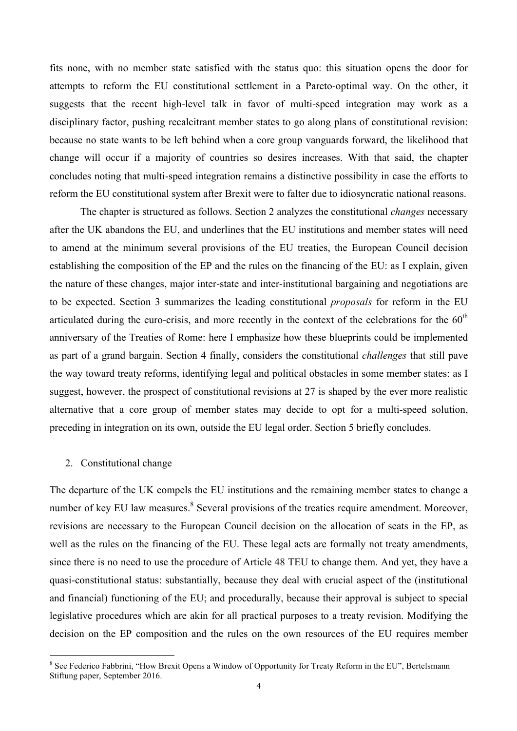fits none, with no member state satisfied with the status quo: this situation opens the door for attempts to reform the EU constitutional settlement in a Pareto-optimal way. On the other, it suggests that the recent high-level talk in favor of multi-speed integration may work as a disciplinary factor, pushing recalcitrant member states to go along plans of constitutional revision: because no state wants to be left behind when a core group vanguards forward, the likelihood that change will occur if a majority of countries so desires increases. With that said, the chapter concludes noting that multi-speed integration remains a distinctive possibility in case the efforts to reform the EU constitutional system after Brexit were to falter due to idiosyncratic national reasons.

The chapter is structured as follows. Section 2 analyzes the constitutional *changes* necessary after the UK abandons the EU, and underlines that the EU institutions and member states will need to amend at the minimum several provisions of the EU treaties, the European Council decision establishing the composition of the EP and the rules on the financing of the EU: as I explain, given the nature of these changes, major inter-state and inter-institutional bargaining and negotiations are to be expected. Section 3 summarizes the leading constitutional *proposals* for reform in the EU articulated during the euro-crisis, and more recently in the context of the celebrations for the  $60<sup>th</sup>$ anniversary of the Treaties of Rome: here I emphasize how these blueprints could be implemented as part of a grand bargain. Section 4 finally, considers the constitutional *challenges* that still pave the way toward treaty reforms, identifying legal and political obstacles in some member states: as I suggest, however, the prospect of constitutional revisions at 27 is shaped by the ever more realistic alternative that a core group of member states may decide to opt for a multi-speed solution, preceding in integration on its own, outside the EU legal order. Section 5 briefly concludes.

# 2. Constitutional change

<u> 1989 - Johann Barn, mars ann an t-Amhain an t-Amhain an t-Amhain an t-Amhain an t-Amhain an t-Amhain an t-Amh</u>

The departure of the UK compels the EU institutions and the remaining member states to change a number of key EU law measures.<sup>8</sup> Several provisions of the treaties require amendment. Moreover, revisions are necessary to the European Council decision on the allocation of seats in the EP, as well as the rules on the financing of the EU. These legal acts are formally not treaty amendments, since there is no need to use the procedure of Article 48 TEU to change them. And yet, they have a quasi-constitutional status: substantially, because they deal with crucial aspect of the (institutional and financial) functioning of the EU; and procedurally, because their approval is subject to special legislative procedures which are akin for all practical purposes to a treaty revision. Modifying the decision on the EP composition and the rules on the own resources of the EU requires member

 $8$  See Federico Fabbrini, "How Brexit Opens a Window of Opportunity for Treaty Reform in the EU", Bertelsmann Stiftung paper, September 2016.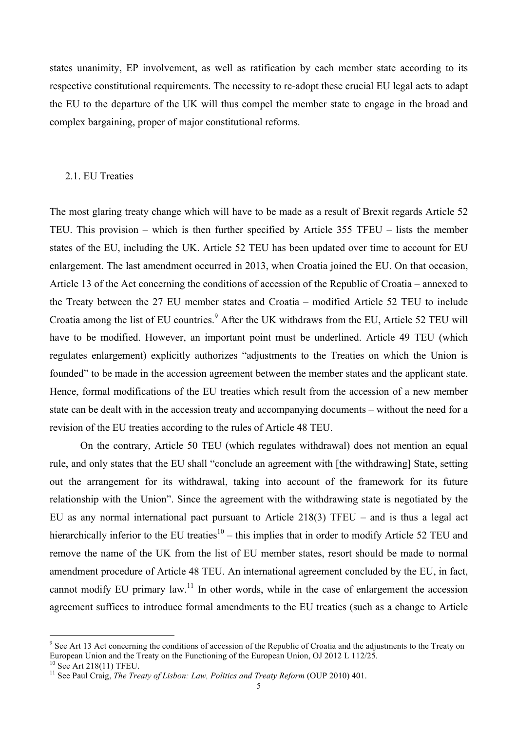states unanimity, EP involvement, as well as ratification by each member state according to its respective constitutional requirements. The necessity to re-adopt these crucial EU legal acts to adapt the EU to the departure of the UK will thus compel the member state to engage in the broad and complex bargaining, proper of major constitutional reforms.

# 2.1. EU Treaties

The most glaring treaty change which will have to be made as a result of Brexit regards Article 52 TEU. This provision – which is then further specified by Article 355 TFEU – lists the member states of the EU, including the UK. Article 52 TEU has been updated over time to account for EU enlargement. The last amendment occurred in 2013, when Croatia joined the EU. On that occasion, Article 13 of the Act concerning the conditions of accession of the Republic of Croatia – annexed to the Treaty between the 27 EU member states and Croatia – modified Article 52 TEU to include Croatia among the list of EU countries.<sup>9</sup> After the UK withdraws from the EU, Article 52 TEU will have to be modified. However, an important point must be underlined. Article 49 TEU (which regulates enlargement) explicitly authorizes "adjustments to the Treaties on which the Union is founded" to be made in the accession agreement between the member states and the applicant state. Hence, formal modifications of the EU treaties which result from the accession of a new member state can be dealt with in the accession treaty and accompanying documents – without the need for a revision of the EU treaties according to the rules of Article 48 TEU.

On the contrary, Article 50 TEU (which regulates withdrawal) does not mention an equal rule, and only states that the EU shall "conclude an agreement with [the withdrawing] State, setting out the arrangement for its withdrawal, taking into account of the framework for its future relationship with the Union". Since the agreement with the withdrawing state is negotiated by the EU as any normal international pact pursuant to Article 218(3) TFEU – and is thus a legal act hierarchically inferior to the EU treaties<sup>10</sup> – this implies that in order to modify Article 52 TEU and remove the name of the UK from the list of EU member states, resort should be made to normal amendment procedure of Article 48 TEU. An international agreement concluded by the EU, in fact, cannot modify EU primary  $law$ <sup>11</sup>. In other words, while in the case of enlargement the accession agreement suffices to introduce formal amendments to the EU treaties (such as a change to Article

<u> 1989 - Johann Barn, mars eta bainar eta industrial eta baina eta baina eta baina eta baina eta baina eta bain</u>

<sup>&</sup>lt;sup>9</sup> See Art 13 Act concerning the conditions of accession of the Republic of Croatia and the adjustments to the Treaty on European Union and the Treaty on the Functioning of the European Union, OJ 2012 L 112/25.

European Union and the Treaty of the Functioning of the European Union, OJ 2012<br><sup>10</sup> See Art 218(11) TFEU.<br><sup>11</sup> See Paul Craig, *The Treaty of Lisbon: Law, Politics and Treaty Reform* (OUP 2010) 401.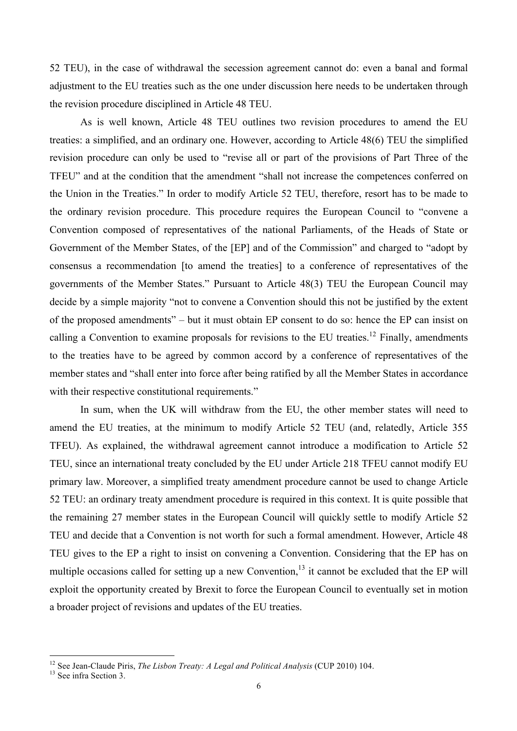52 TEU), in the case of withdrawal the secession agreement cannot do: even a banal and formal adjustment to the EU treaties such as the one under discussion here needs to be undertaken through the revision procedure disciplined in Article 48 TEU.

As is well known, Article 48 TEU outlines two revision procedures to amend the EU treaties: a simplified, and an ordinary one. However, according to Article 48(6) TEU the simplified revision procedure can only be used to "revise all or part of the provisions of Part Three of the TFEU" and at the condition that the amendment "shall not increase the competences conferred on the Union in the Treaties." In order to modify Article 52 TEU, therefore, resort has to be made to the ordinary revision procedure. This procedure requires the European Council to "convene a Convention composed of representatives of the national Parliaments, of the Heads of State or Government of the Member States, of the [EP] and of the Commission" and charged to "adopt by consensus a recommendation [to amend the treaties] to a conference of representatives of the governments of the Member States." Pursuant to Article 48(3) TEU the European Council may decide by a simple majority "not to convene a Convention should this not be justified by the extent of the proposed amendments" – but it must obtain EP consent to do so: hence the EP can insist on calling a Convention to examine proposals for revisions to the EU treaties.<sup>12</sup> Finally, amendments to the treaties have to be agreed by common accord by a conference of representatives of the member states and "shall enter into force after being ratified by all the Member States in accordance with their respective constitutional requirements."

In sum, when the UK will withdraw from the EU, the other member states will need to amend the EU treaties, at the minimum to modify Article 52 TEU (and, relatedly, Article 355 TFEU). As explained, the withdrawal agreement cannot introduce a modification to Article 52 TEU, since an international treaty concluded by the EU under Article 218 TFEU cannot modify EU primary law. Moreover, a simplified treaty amendment procedure cannot be used to change Article 52 TEU: an ordinary treaty amendment procedure is required in this context. It is quite possible that the remaining 27 member states in the European Council will quickly settle to modify Article 52 TEU and decide that a Convention is not worth for such a formal amendment. However, Article 48 TEU gives to the EP a right to insist on convening a Convention. Considering that the EP has on multiple occasions called for setting up a new Convention, $^{13}$  it cannot be excluded that the EP will exploit the opportunity created by Brexit to force the European Council to eventually set in motion a broader project of revisions and updates of the EU treaties.

<sup>&</sup>lt;sup>12</sup> See Jean-Claude Piris, *The Lisbon Treaty: A Legal and Political Analysis* (CUP 2010) 104.<br><sup>13</sup> See infra Section 3.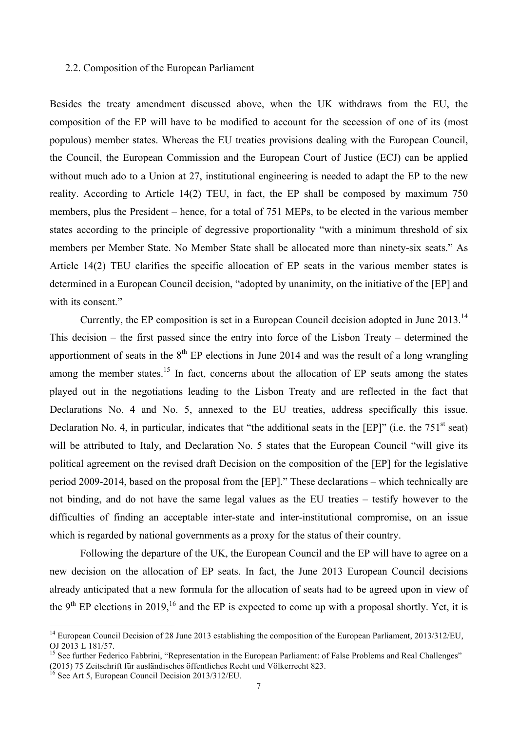#### 2.2. Composition of the European Parliament

Besides the treaty amendment discussed above, when the UK withdraws from the EU, the composition of the EP will have to be modified to account for the secession of one of its (most populous) member states. Whereas the EU treaties provisions dealing with the European Council, the Council, the European Commission and the European Court of Justice (ECJ) can be applied without much ado to a Union at 27, institutional engineering is needed to adapt the EP to the new reality. According to Article 14(2) TEU, in fact, the EP shall be composed by maximum 750 members, plus the President – hence, for a total of 751 MEPs, to be elected in the various member states according to the principle of degressive proportionality "with a minimum threshold of six members per Member State. No Member State shall be allocated more than ninety-six seats." As Article 14(2) TEU clarifies the specific allocation of EP seats in the various member states is determined in a European Council decision, "adopted by unanimity, on the initiative of the [EP] and with its consent."

Currently, the EP composition is set in a European Council decision adopted in June 2013.<sup>14</sup> This decision – the first passed since the entry into force of the Lisbon Treaty – determined the apportionment of seats in the  $8<sup>th</sup>$  EP elections in June 2014 and was the result of a long wrangling among the member states.<sup>15</sup> In fact, concerns about the allocation of EP seats among the states played out in the negotiations leading to the Lisbon Treaty and are reflected in the fact that Declarations No. 4 and No. 5, annexed to the EU treaties, address specifically this issue. Declaration No. 4, in particular, indicates that "the additional seats in the [EP]" (i.e. the  $751<sup>st</sup>$  seat) will be attributed to Italy, and Declaration No. 5 states that the European Council "will give its political agreement on the revised draft Decision on the composition of the [EP] for the legislative period 2009-2014, based on the proposal from the [EP]." These declarations – which technically are not binding, and do not have the same legal values as the EU treaties – testify however to the difficulties of finding an acceptable inter-state and inter-institutional compromise, on an issue which is regarded by national governments as a proxy for the status of their country.

Following the departure of the UK, the European Council and the EP will have to agree on a new decision on the allocation of EP seats. In fact, the June 2013 European Council decisions already anticipated that a new formula for the allocation of seats had to be agreed upon in view of the 9<sup>th</sup> EP elections in 2019,<sup>16</sup> and the EP is expected to come up with a proposal shortly. Yet, it is

<sup>&</sup>lt;sup>14</sup> European Council Decision of 28 June 2013 establishing the composition of the European Parliament, 2013/312/EU, OJ 2013 L 181/57.

<sup>&</sup>lt;sup>15</sup> See further Federico Fabbrini, "Representation in the European Parliament: of False Problems and Real Challenges" (2015) 75 Zeitschrift für ausländisches öffentliches Recht und Völkerrecht 823.

<sup>&</sup>lt;sup>16</sup> See Art 5, European Council Decision 2013/312/EU.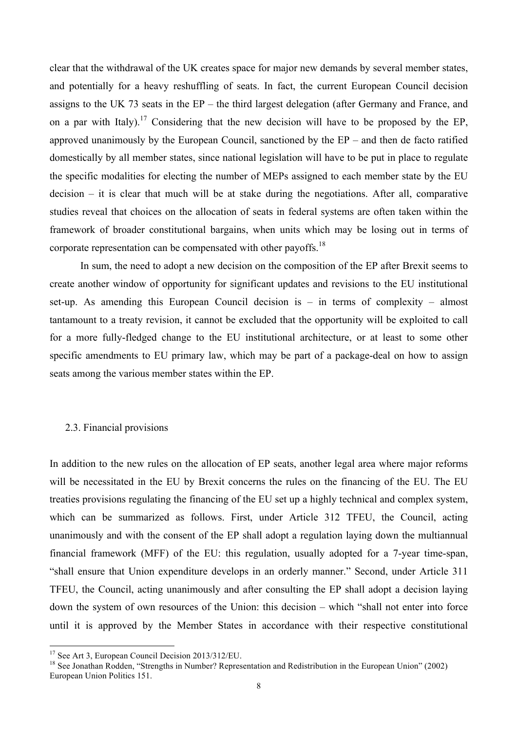clear that the withdrawal of the UK creates space for major new demands by several member states, and potentially for a heavy reshuffling of seats. In fact, the current European Council decision assigns to the UK 73 seats in the EP – the third largest delegation (after Germany and France, and on a par with Italy).<sup>17</sup> Considering that the new decision will have to be proposed by the EP, approved unanimously by the European Council, sanctioned by the EP – and then de facto ratified domestically by all member states, since national legislation will have to be put in place to regulate the specific modalities for electing the number of MEPs assigned to each member state by the EU decision – it is clear that much will be at stake during the negotiations. After all, comparative studies reveal that choices on the allocation of seats in federal systems are often taken within the framework of broader constitutional bargains, when units which may be losing out in terms of corporate representation can be compensated with other payoffs.<sup>18</sup>

In sum, the need to adopt a new decision on the composition of the EP after Brexit seems to create another window of opportunity for significant updates and revisions to the EU institutional set-up. As amending this European Council decision is – in terms of complexity – almost tantamount to a treaty revision, it cannot be excluded that the opportunity will be exploited to call for a more fully-fledged change to the EU institutional architecture, or at least to some other specific amendments to EU primary law, which may be part of a package-deal on how to assign seats among the various member states within the EP.

# 2.3. Financial provisions

In addition to the new rules on the allocation of EP seats, another legal area where major reforms will be necessitated in the EU by Brexit concerns the rules on the financing of the EU. The EU treaties provisions regulating the financing of the EU set up a highly technical and complex system, which can be summarized as follows. First, under Article 312 TFEU, the Council, acting unanimously and with the consent of the EP shall adopt a regulation laying down the multiannual financial framework (MFF) of the EU: this regulation, usually adopted for a 7-year time-span, "shall ensure that Union expenditure develops in an orderly manner." Second, under Article 311 TFEU, the Council, acting unanimously and after consulting the EP shall adopt a decision laying down the system of own resources of the Union: this decision – which "shall not enter into force until it is approved by the Member States in accordance with their respective constitutional

<sup>&</sup>lt;sup>17</sup> See Art 3, European Council Decision 2013/312/EU.<br><sup>18</sup> See Jonathan Rodden, "Strengths in Number? Representation and Redistribution in the European Union" (2002) European Union Politics 151.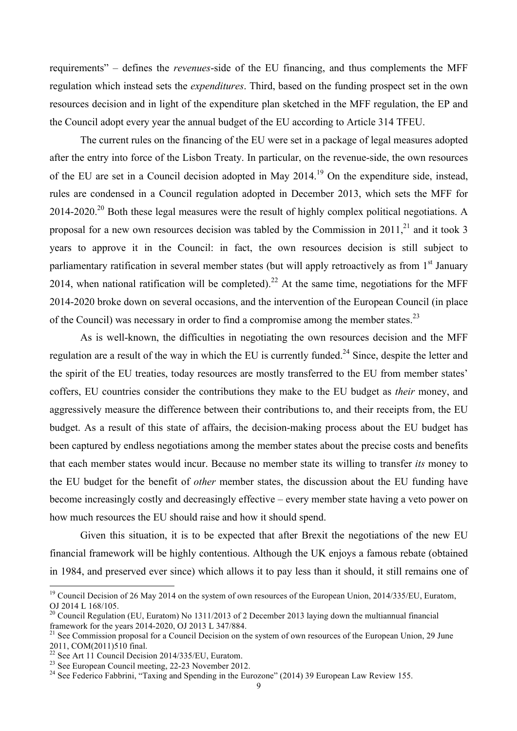requirements" – defines the *revenues*-side of the EU financing, and thus complements the MFF regulation which instead sets the *expenditures*. Third, based on the funding prospect set in the own resources decision and in light of the expenditure plan sketched in the MFF regulation, the EP and the Council adopt every year the annual budget of the EU according to Article 314 TFEU.

The current rules on the financing of the EU were set in a package of legal measures adopted after the entry into force of the Lisbon Treaty. In particular, on the revenue-side, the own resources of the EU are set in a Council decision adopted in May 2014.<sup>19</sup> On the expenditure side, instead, rules are condensed in a Council regulation adopted in December 2013, which sets the MFF for  $2014$ - $2020$ <sup>20</sup> Both these legal measures were the result of highly complex political negotiations. A proposal for a new own resources decision was tabled by the Commission in  $2011$ ,<sup>21</sup> and it took 3 years to approve it in the Council: in fact, the own resources decision is still subject to parliamentary ratification in several member states (but will apply retroactively as from 1<sup>st</sup> January 2014, when national ratification will be completed).<sup>22</sup> At the same time, negotiations for the MFF 2014-2020 broke down on several occasions, and the intervention of the European Council (in place of the Council) was necessary in order to find a compromise among the member states.<sup>23</sup>

As is well-known, the difficulties in negotiating the own resources decision and the MFF regulation are a result of the way in which the EU is currently funded.<sup>24</sup> Since, despite the letter and the spirit of the EU treaties, today resources are mostly transferred to the EU from member states' coffers, EU countries consider the contributions they make to the EU budget as *their* money, and aggressively measure the difference between their contributions to, and their receipts from, the EU budget. As a result of this state of affairs, the decision-making process about the EU budget has been captured by endless negotiations among the member states about the precise costs and benefits that each member states would incur. Because no member state its willing to transfer *its* money to the EU budget for the benefit of *other* member states, the discussion about the EU funding have become increasingly costly and decreasingly effective – every member state having a veto power on how much resources the EU should raise and how it should spend.

Given this situation, it is to be expected that after Brexit the negotiations of the new EU financial framework will be highly contentious. Although the UK enjoys a famous rebate (obtained in 1984, and preserved ever since) which allows it to pay less than it should, it still remains one of

<sup>&</sup>lt;sup>19</sup> Council Decision of 26 May 2014 on the system of own resources of the European Union, 2014/335/EU, Euratom, OJ 2014 L 168/105.

<sup>&</sup>lt;sup>20</sup> Council Regulation (EU, Euratom) No 1311/2013 of 2 December 2013 laying down the multiannual financial framework for the years 2014-2020, OJ 2013 L 347/884.

<sup>&</sup>lt;sup>21</sup> See Commission proposal for a Council Decision on the system of own resources of the European Union, 29 June 2011, COM(2011)510 final.<br>
<sup>22</sup> See Art 11 Council Decision 2014/335/EU, Euratom.<br>
<sup>23</sup> See European Council meeting, 22-23 November 2012.<br>
<sup>24</sup> See Federico Fabbrini, "Taxing and Spending in the Eurozone" (2014) 39 Europ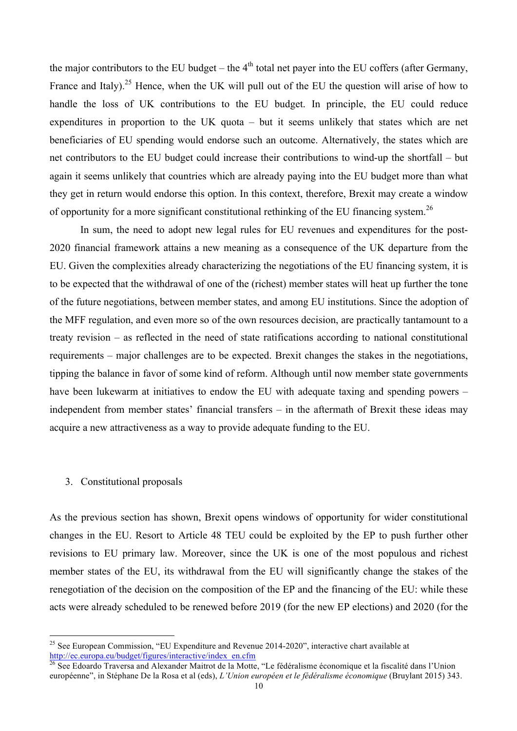the major contributors to the EU budget – the  $4<sup>th</sup>$  total net payer into the EU coffers (after Germany, France and Italy).<sup>25</sup> Hence, when the UK will pull out of the EU the question will arise of how to handle the loss of UK contributions to the EU budget. In principle, the EU could reduce expenditures in proportion to the UK quota – but it seems unlikely that states which are net beneficiaries of EU spending would endorse such an outcome. Alternatively, the states which are net contributors to the EU budget could increase their contributions to wind-up the shortfall – but again it seems unlikely that countries which are already paying into the EU budget more than what they get in return would endorse this option. In this context, therefore, Brexit may create a window of opportunity for a more significant constitutional rethinking of the EU financing system.<sup>26</sup>

In sum, the need to adopt new legal rules for EU revenues and expenditures for the post-2020 financial framework attains a new meaning as a consequence of the UK departure from the EU. Given the complexities already characterizing the negotiations of the EU financing system, it is to be expected that the withdrawal of one of the (richest) member states will heat up further the tone of the future negotiations, between member states, and among EU institutions. Since the adoption of the MFF regulation, and even more so of the own resources decision, are practically tantamount to a treaty revision – as reflected in the need of state ratifications according to national constitutional requirements – major challenges are to be expected. Brexit changes the stakes in the negotiations, tipping the balance in favor of some kind of reform. Although until now member state governments have been lukewarm at initiatives to endow the EU with adequate taxing and spending powers – independent from member states' financial transfers – in the aftermath of Brexit these ideas may acquire a new attractiveness as a way to provide adequate funding to the EU.

# 3. Constitutional proposals

<u> 1989 - Johann Barn, mars eta bainar eta industrial eta baina eta baina eta baina eta baina eta baina eta bain</u>

As the previous section has shown, Brexit opens windows of opportunity for wider constitutional changes in the EU. Resort to Article 48 TEU could be exploited by the EP to push further other revisions to EU primary law. Moreover, since the UK is one of the most populous and richest member states of the EU, its withdrawal from the EU will significantly change the stakes of the renegotiation of the decision on the composition of the EP and the financing of the EU: while these acts were already scheduled to be renewed before 2019 (for the new EP elections) and 2020 (for the

<sup>&</sup>lt;sup>25</sup> See European Commission, "EU Expenditure and Revenue 2014-2020", interactive chart available at http://ec.europa.eu/budget/figures/interactive/index\_en.cfm

<sup>&</sup>lt;sup>26</sup> See Edoardo Traversa and Alexander Maitrot de la Motte, "Le fédéralisme économique et la fiscalité dans l'Union européenne", in Stéphane De la Rosa et al (eds), *L'Union européen et le fédéralisme économique* (Bruylant 2015) 343.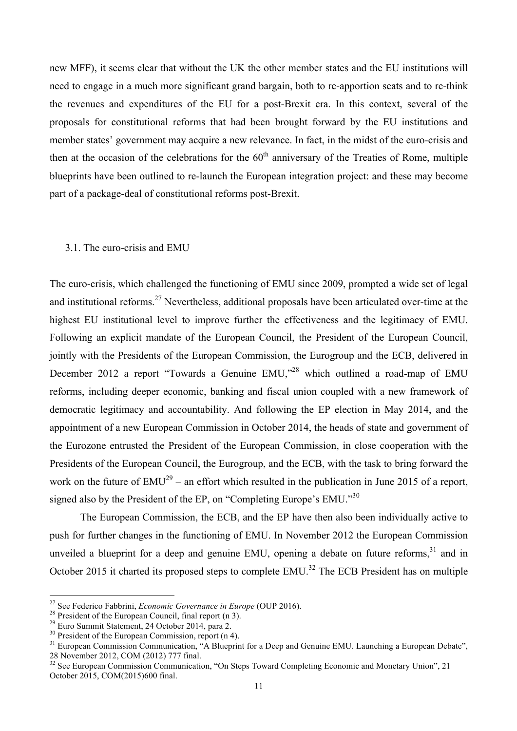new MFF), it seems clear that without the UK the other member states and the EU institutions will need to engage in a much more significant grand bargain, both to re-apportion seats and to re-think the revenues and expenditures of the EU for a post-Brexit era. In this context, several of the proposals for constitutional reforms that had been brought forward by the EU institutions and member states' government may acquire a new relevance. In fact, in the midst of the euro-crisis and then at the occasion of the celebrations for the  $60<sup>th</sup>$  anniversary of the Treaties of Rome, multiple blueprints have been outlined to re-launch the European integration project: and these may become part of a package-deal of constitutional reforms post-Brexit.

## 3.1. The euro-crisis and EMU

The euro-crisis, which challenged the functioning of EMU since 2009, prompted a wide set of legal and institutional reforms.<sup>27</sup> Nevertheless, additional proposals have been articulated over-time at the highest EU institutional level to improve further the effectiveness and the legitimacy of EMU. Following an explicit mandate of the European Council, the President of the European Council, jointly with the Presidents of the European Commission, the Eurogroup and the ECB, delivered in December 2012 a report "Towards a Genuine EMU,"<sup>28</sup> which outlined a road-map of EMU reforms, including deeper economic, banking and fiscal union coupled with a new framework of democratic legitimacy and accountability. And following the EP election in May 2014, and the appointment of a new European Commission in October 2014, the heads of state and government of the Eurozone entrusted the President of the European Commission, in close cooperation with the Presidents of the European Council, the Eurogroup, and the ECB, with the task to bring forward the work on the future of  $EMU^{29}$  – an effort which resulted in the publication in June 2015 of a report, signed also by the President of the EP, on "Completing Europe's EMU."<sup>30</sup>

The European Commission, the ECB, and the EP have then also been individually active to push for further changes in the functioning of EMU. In November 2012 the European Commission unveiled a blueprint for a deep and genuine EMU, opening a debate on future reforms.<sup>31</sup> and in October 2015 it charted its proposed steps to complete  $EMU$ .<sup>32</sup> The ECB President has on multiple

<sup>&</sup>lt;sup>27</sup> See Federico Fabbrini, *Economic Governance in Europe* (OUP 2016).

<sup>&</sup>lt;sup>28</sup> President of the European Council, final report (n 3).<br>
<sup>29</sup> Euro Summit Statement, 24 October 2014, para 2.<br>
<sup>30</sup> President of the European Commission, report (n 4).<br>
<sup>31</sup> European Commission Communication, "A Bluep

<sup>&</sup>lt;sup>32</sup> See European Commission Communication, "On Steps Toward Completing Economic and Monetary Union", 21 October 2015, COM(2015)600 final.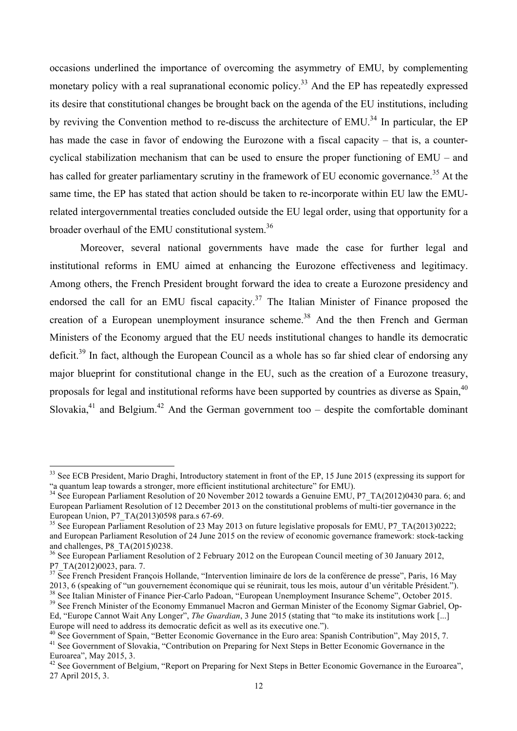occasions underlined the importance of overcoming the asymmetry of EMU, by complementing monetary policy with a real supranational economic policy.<sup>33</sup> And the EP has repeatedly expressed its desire that constitutional changes be brought back on the agenda of the EU institutions, including by reviving the Convention method to re-discuss the architecture of EMU.<sup>34</sup> In particular, the EP has made the case in favor of endowing the Eurozone with a fiscal capacity – that is, a countercyclical stabilization mechanism that can be used to ensure the proper functioning of EMU – and has called for greater parliamentary scrutiny in the framework of EU economic governance.<sup>35</sup> At the same time, the EP has stated that action should be taken to re-incorporate within EU law the EMUrelated intergovernmental treaties concluded outside the EU legal order, using that opportunity for a broader overhaul of the EMU constitutional system.<sup>36</sup>

Moreover, several national governments have made the case for further legal and institutional reforms in EMU aimed at enhancing the Eurozone effectiveness and legitimacy. Among others, the French President brought forward the idea to create a Eurozone presidency and endorsed the call for an EMU fiscal capacity.<sup>37</sup> The Italian Minister of Finance proposed the creation of a European unemployment insurance scheme.<sup>38</sup> And the then French and German Ministers of the Economy argued that the EU needs institutional changes to handle its democratic deficit.<sup>39</sup> In fact, although the European Council as a whole has so far shied clear of endorsing any major blueprint for constitutional change in the EU, such as the creation of a Eurozone treasury, proposals for legal and institutional reforms have been supported by countries as diverse as Spain.<sup>40</sup> Slovakia,<sup>41</sup> and Belgium.<sup>42</sup> And the German government too – despite the comfortable dominant

 $33$  See ECB President, Mario Draghi, Introductory statement in front of the EP, 15 June 2015 (expressing its support for "a quantum leap towards a stronger, more efficient institutional architecture" for EMU).

<sup>&</sup>lt;sup>34</sup> See European Parliament Resolution of 20 November 2012 towards a Genuine EMU, P7\_TA(2012)0430 para. 6; and European Parliament Resolution of 12 December 2013 on the constitutional problems of multi-tier governance in the European Union, P7 TA(2013)0598 para.s 67-69.

<sup>&</sup>lt;sup>35</sup> See European Parliament Resolution of 23 May 2013 on future legislative proposals for EMU, P7\_TA(2013)0222; and European Parliament Resolution of 24 June 2015 on the review of economic governance framework: stock-tacking

and challenges, P8\_TA(2015)0238.<br><sup>36</sup> See European Parliament Resolution of 2 February 2012 on the European Council meeting of 30 January 2012,<br>P7 TA(2012)0023, para. 7.

 $\overline{p}^3$  See French President François Hollande, "Intervention liminaire de lors de la conférence de presse", Paris, 16 May 2013, 6 (speaking of "un gouvernement économique qui se réunirait, tous les mois, autour d'un véritable Président.").

<sup>&</sup>lt;sup>38</sup> See Italian Minister of Finance Pier-Carlo Padoan, "European Unemployment Insurance Scheme", October 2015.<br><sup>39</sup> See French Minister of the Economy Emmanuel Macron and German Minister of the Economy Sigmar Gabriel, Op-

Ed, "Europe Cannot Wait Any Longer", *The Guardian*, 3 June 2015 (stating that "to make its institutions work [...]<br>Europe will need to address its democratic deficit as well as its executive one.").

<sup>&</sup>lt;sup>40</sup> See Government of Spain, "Better Economic Governance in the Euro area: Spanish Contribution", May 2015, 7.<br><sup>41</sup> See Government of Slovakia, "Contribution on Preparing for Next Steps in Better Economic Governance in t Euroarea", May 2015, 3.

<sup>&</sup>lt;sup>42</sup> See Government of Belgium, "Report on Preparing for Next Steps in Better Economic Governance in the Euroarea", 27 April 2015, 3.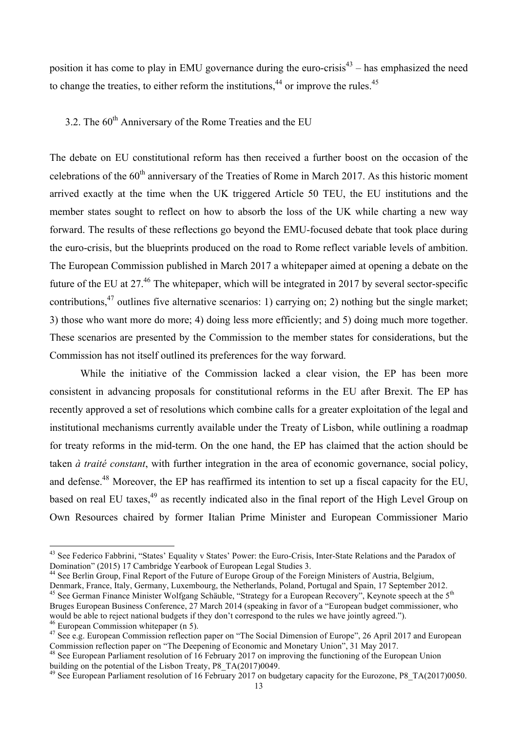position it has come to play in EMU governance during the euro-crisis<sup>43</sup> – has emphasized the need to change the treaties, to either reform the institutions,<sup>44</sup> or improve the rules.<sup>45</sup>

# 3.2. The  $60<sup>th</sup>$  Anniversary of the Rome Treaties and the EU

The debate on EU constitutional reform has then received a further boost on the occasion of the celebrations of the 60<sup>th</sup> anniversary of the Treaties of Rome in March 2017. As this historic moment arrived exactly at the time when the UK triggered Article 50 TEU, the EU institutions and the member states sought to reflect on how to absorb the loss of the UK while charting a new way forward. The results of these reflections go beyond the EMU-focused debate that took place during the euro-crisis, but the blueprints produced on the road to Rome reflect variable levels of ambition. The European Commission published in March 2017 a whitepaper aimed at opening a debate on the future of the EU at  $27<sup>46</sup>$  The whitepaper, which will be integrated in 2017 by several sector-specific contributions,<sup>47</sup> outlines five alternative scenarios: 1) carrying on; 2) nothing but the single market; 3) those who want more do more; 4) doing less more efficiently; and 5) doing much more together. These scenarios are presented by the Commission to the member states for considerations, but the Commission has not itself outlined its preferences for the way forward.

While the initiative of the Commission lacked a clear vision, the EP has been more consistent in advancing proposals for constitutional reforms in the EU after Brexit. The EP has recently approved a set of resolutions which combine calls for a greater exploitation of the legal and institutional mechanisms currently available under the Treaty of Lisbon, while outlining a roadmap for treaty reforms in the mid-term. On the one hand, the EP has claimed that the action should be taken *à traité constant*, with further integration in the area of economic governance, social policy, and defense.<sup>48</sup> Moreover, the EP has reaffirmed its intention to set up a fiscal capacity for the EU, based on real EU taxes.<sup>49</sup> as recently indicated also in the final report of the High Level Group on Own Resources chaired by former Italian Prime Minister and European Commissioner Mario

<u> 1989 - Johann Barn, mars eta bainar eta industrial eta baina eta baina eta baina eta baina eta baina eta bain</u>

<sup>44</sup> See Berlin Group, Final Report of the Future of Europe Group of the Foreign Ministers of Austria, Belgium, Denmark, France, Italy, Germany, Luxembourg, the Netherlands, Poland, Portugal and Spain, 17 September 2012. <sup>45</sup> See German Finance Minister Wolfgang Schäuble, "Strategy for a European Recovery", Keynote speech at the 5<sup>th</sup> Bruges European Business Conference, 27 March 2014 (speaking in favor of a "European budget commissioner, who would be able to reject national budgets if they don't correspond to the rules we have jointly agreed."). <sup>46</sup> European Commission whitepaper (n 5).<br><sup>47</sup> See e.g. European Commission reflection paper on "The Social Dimension of Europe", 26 April 2017 and European

<sup>&</sup>lt;sup>43</sup> See Federico Fabbrini, "States' Equality v States' Power: the Euro-Crisis, Inter-State Relations and the Paradox of Domination" (2015) 17 Cambridge Yearbook of European Legal Studies 3.

Commission reflection paper on "The Deepening of Economic and Monetary Union", 31 May 2017.<br><sup>48</sup> See European Parliament resolution of 16 February 2017 on improving the functioning of the European Union

building on the potential of the Lisbon Treaty, P8\_TA(2017)0049.<br><sup>49</sup> See European Parliament resolution of 16 February 2017 on budgetary capacity for the Eurozone, P8\_TA(2017)0050.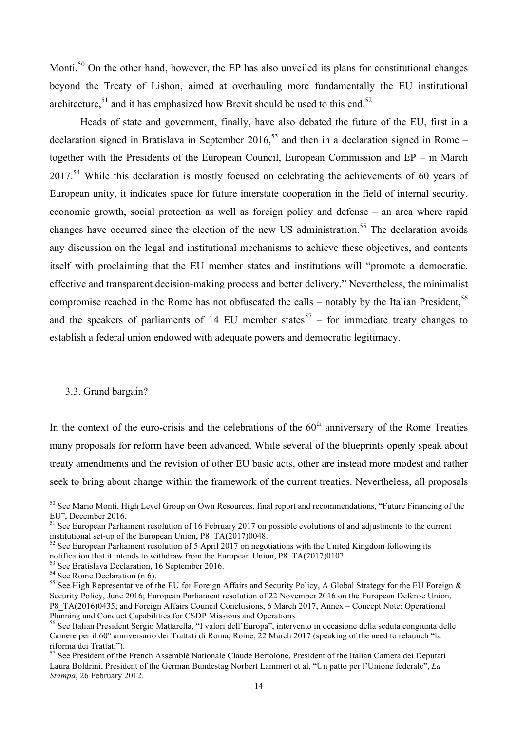Monti.<sup>50</sup> On the other hand, however, the EP has also unveiled its plans for constitutional changes beyond the Treaty of Lisbon, aimed at overhauling more fundamentally the EU institutional architecture,<sup>51</sup> and it has emphasized how Brexit should be used to this end.<sup>52</sup>

Heads of state and government, finally, have also debated the future of the EU, first in a declaration signed in Bratislava in September 2016,<sup>53</sup> and then in a declaration signed in Rome – together with the Presidents of the European Council, European Commission and EP – in March 2017.<sup>54</sup> While this declaration is mostly focused on celebrating the achievements of 60 years of European unity, it indicates space for future interstate cooperation in the field of internal security, economic growth, social protection as well as foreign policy and defense – an area where rapid changes have occurred since the election of the new US administration.<sup>55</sup> The declaration avoids any discussion on the legal and institutional mechanisms to achieve these objectives, and contents itself with proclaiming that the EU member states and institutions will "promote a democratic, effective and transparent decision-making process and better delivery." Nevertheless, the minimalist compromise reached in the Rome has not obfuscated the calls – notably by the Italian President,<sup>56</sup> and the speakers of parliaments of 14 EU member states<sup>57</sup> – for immediate treaty changes to establish a federal union endowed with adequate powers and democratic legitimacy.

#### 3.3. Grand bargain?

In the context of the euro-crisis and the celebrations of the  $60<sup>th</sup>$  anniversary of the Rome Treaties many proposals for reform have been advanced. While several of the blueprints openly speak about treaty amendments and the revision of other EU basic acts, other are instead more modest and rather seek to bring about change within the framework of the current treaties. Nevertheless, all proposals

<sup>&</sup>lt;sup>50</sup> See Mario Monti, High Level Group on Own Resources, final report and recommendations, "Future Financing of the EU", December 2016.

<sup>&</sup>lt;sup>51</sup> See European Parliament resolution of 16 February 2017 on possible evolutions of and adjustments to the current institutional set-up of the European Union, P8  $TA(2017)0048$ .

 $52$  See European Parliament resolution of 5 April 2017 on negotiations with the United Kingdom following its notification that it intends to withdraw from the European Union, P8\_TA(2017)0102.<br><sup>53</sup> See Bratislava Declaration, 16 September 2016.<br><sup>54</sup> See Rome Declaration (n 6).<br><sup>55</sup> See High Representative of the EU for Foreign Aff

Security Policy, June 2016; European Parliament resolution of 22 November 2016 on the European Defense Union, P8\_TA(2016)0435; and Foreign Affairs Council Conclusions, 6 March 2017, Annex – Concept Note: Operational Planning and Conduct Capabilities for CSDP Missions and Operations.

<sup>&</sup>lt;sup>56</sup> See Italian President Sergio Mattarella, "I valori dell'Europa", intervento in occasione della seduta congiunta delle Camere per il 60° anniversario dei Trattati di Roma, Rome, 22 March 2017 (speaking of the need to relaunch "la riforma dei Trattati").<br><sup>57</sup> See President of the French Assemblé Nationale Claude Bertolone. President of the Italian Camera dei Deputati

Laura Boldrini, President of the German Bundestag Norbert Lammert et al, "Un patto per l'Unione federale", *La Stampa*, 26 February 2012.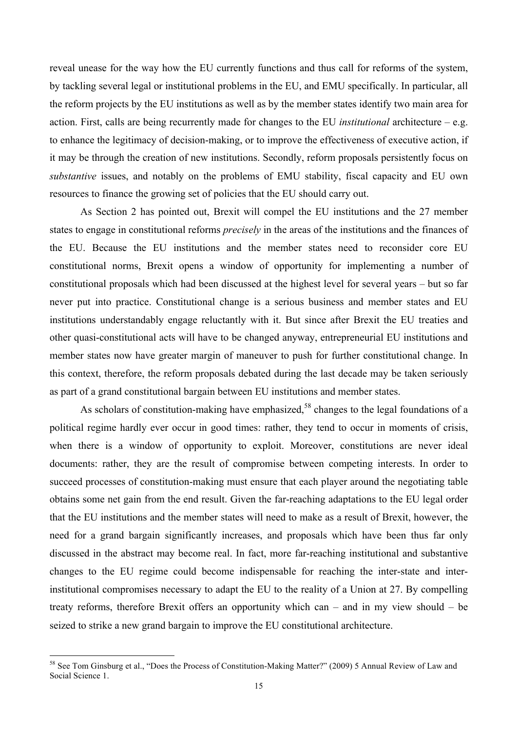reveal unease for the way how the EU currently functions and thus call for reforms of the system, by tackling several legal or institutional problems in the EU, and EMU specifically. In particular, all the reform projects by the EU institutions as well as by the member states identify two main area for action. First, calls are being recurrently made for changes to the EU *institutional* architecture – e.g. to enhance the legitimacy of decision-making, or to improve the effectiveness of executive action, if it may be through the creation of new institutions. Secondly, reform proposals persistently focus on *substantive* issues, and notably on the problems of EMU stability, fiscal capacity and EU own resources to finance the growing set of policies that the EU should carry out.

As Section 2 has pointed out, Brexit will compel the EU institutions and the 27 member states to engage in constitutional reforms *precisely* in the areas of the institutions and the finances of the EU. Because the EU institutions and the member states need to reconsider core EU constitutional norms, Brexit opens a window of opportunity for implementing a number of constitutional proposals which had been discussed at the highest level for several years – but so far never put into practice. Constitutional change is a serious business and member states and EU institutions understandably engage reluctantly with it. But since after Brexit the EU treaties and other quasi-constitutional acts will have to be changed anyway, entrepreneurial EU institutions and member states now have greater margin of maneuver to push for further constitutional change. In this context, therefore, the reform proposals debated during the last decade may be taken seriously as part of a grand constitutional bargain between EU institutions and member states.

As scholars of constitution-making have emphasized.<sup>58</sup> changes to the legal foundations of a political regime hardly ever occur in good times: rather, they tend to occur in moments of crisis, when there is a window of opportunity to exploit. Moreover, constitutions are never ideal documents: rather, they are the result of compromise between competing interests. In order to succeed processes of constitution-making must ensure that each player around the negotiating table obtains some net gain from the end result. Given the far-reaching adaptations to the EU legal order that the EU institutions and the member states will need to make as a result of Brexit, however, the need for a grand bargain significantly increases, and proposals which have been thus far only discussed in the abstract may become real. In fact, more far-reaching institutional and substantive changes to the EU regime could become indispensable for reaching the inter-state and interinstitutional compromises necessary to adapt the EU to the reality of a Union at 27. By compelling treaty reforms, therefore Brexit offers an opportunity which can – and in my view should – be seized to strike a new grand bargain to improve the EU constitutional architecture.

<sup>&</sup>lt;sup>58</sup> See Tom Ginsburg et al., "Does the Process of Constitution-Making Matter?" (2009) 5 Annual Review of Law and Social Science 1.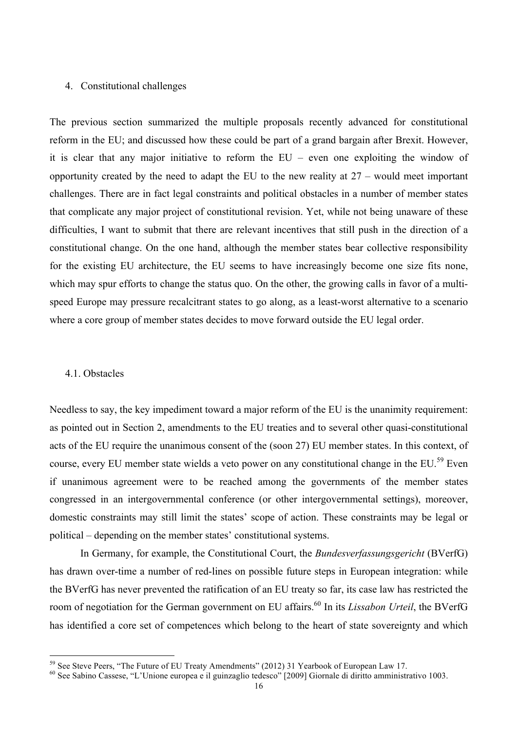# 4. Constitutional challenges

The previous section summarized the multiple proposals recently advanced for constitutional reform in the EU; and discussed how these could be part of a grand bargain after Brexit. However, it is clear that any major initiative to reform the EU – even one exploiting the window of opportunity created by the need to adapt the EU to the new reality at 27 – would meet important challenges. There are in fact legal constraints and political obstacles in a number of member states that complicate any major project of constitutional revision. Yet, while not being unaware of these difficulties, I want to submit that there are relevant incentives that still push in the direction of a constitutional change. On the one hand, although the member states bear collective responsibility for the existing EU architecture, the EU seems to have increasingly become one size fits none, which may spur efforts to change the status quo. On the other, the growing calls in favor of a multispeed Europe may pressure recalcitrant states to go along, as a least-worst alternative to a scenario where a core group of member states decides to move forward outside the EU legal order.

## 4.1. Obstacles

Needless to say, the key impediment toward a major reform of the EU is the unanimity requirement: as pointed out in Section 2, amendments to the EU treaties and to several other quasi-constitutional acts of the EU require the unanimous consent of the (soon 27) EU member states. In this context, of course, every EU member state wields a veto power on any constitutional change in the EU.<sup>59</sup> Even if unanimous agreement were to be reached among the governments of the member states congressed in an intergovernmental conference (or other intergovernmental settings), moreover, domestic constraints may still limit the states' scope of action. These constraints may be legal or political – depending on the member states' constitutional systems.

In Germany, for example, the Constitutional Court, the *Bundesverfassungsgericht* (BVerfG) has drawn over-time a number of red-lines on possible future steps in European integration: while the BVerfG has never prevented the ratification of an EU treaty so far, its case law has restricted the room of negotiation for the German government on EU affairs.<sup>60</sup> In its *Lissabon Urteil*, the BVerfG has identified a core set of competences which belong to the heart of state sovereignty and which

<sup>&</sup>lt;sup>59</sup> See Steve Peers, "The Future of EU Treaty Amendments" (2012) 31 Yearbook of European Law 17.

<sup>&</sup>lt;sup>60</sup> See Sabino Cassese, "L'Unione europea e il guinzaglio tedesco" [2009] Giornale di diritto amministrativo 1003.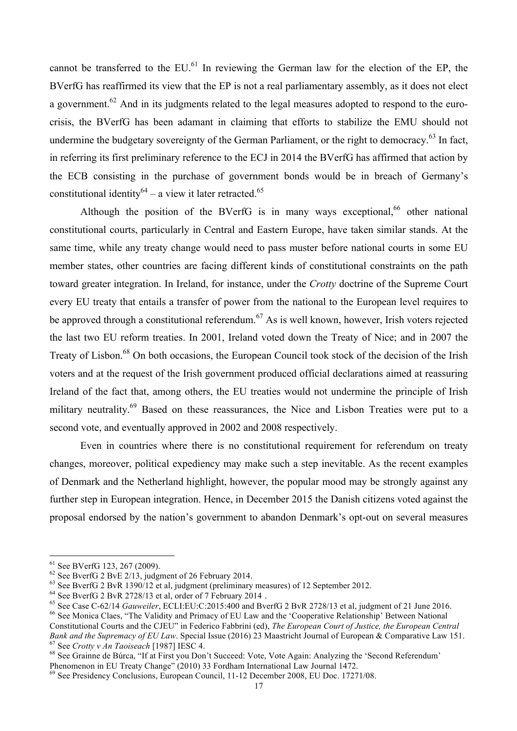cannot be transferred to the EU. $<sup>61</sup>$  In reviewing the German law for the election of the EP, the</sup> BVerfG has reaffirmed its view that the EP is not a real parliamentary assembly, as it does not elect a government.<sup>62</sup> And in its judgments related to the legal measures adopted to respond to the eurocrisis, the BVerfG has been adamant in claiming that efforts to stabilize the EMU should not undermine the budgetary sovereignty of the German Parliament, or the right to democracy.<sup>63</sup> In fact, in referring its first preliminary reference to the ECJ in 2014 the BVerfG has affirmed that action by the ECB consisting in the purchase of government bonds would be in breach of Germany's constitutional identity<sup>64</sup> – a view it later retracted.<sup>65</sup>

Although the position of the BVerfG is in many ways exceptional,  $66$  other national constitutional courts, particularly in Central and Eastern Europe, have taken similar stands. At the same time, while any treaty change would need to pass muster before national courts in some EU member states, other countries are facing different kinds of constitutional constraints on the path toward greater integration. In Ireland, for instance, under the *Crotty* doctrine of the Supreme Court every EU treaty that entails a transfer of power from the national to the European level requires to be approved through a constitutional referendum.<sup>67</sup> As is well known, however, Irish voters rejected the last two EU reform treaties. In 2001, Ireland voted down the Treaty of Nice; and in 2007 the Treaty of Lisbon.<sup>68</sup> On both occasions, the European Council took stock of the decision of the Irish voters and at the request of the Irish government produced official declarations aimed at reassuring Ireland of the fact that, among others, the EU treaties would not undermine the principle of Irish military neutrality.<sup>69</sup> Based on these reassurances, the Nice and Lisbon Treaties were put to a second vote, and eventually approved in 2002 and 2008 respectively.

Even in countries where there is no constitutional requirement for referendum on treaty changes, moreover, political expediency may make such a step inevitable. As the recent examples of Denmark and the Netherland highlight, however, the popular mood may be strongly against any further step in European integration. Hence, in December 2015 the Danish citizens voted against the proposal endorsed by the nation's government to abandon Denmark's opt-out on several measures

<sup>&</sup>lt;sup>61</sup> See BVerfG 123, 267 (2009).<br>
<sup>62</sup> See BverfG 2 BvE 2/13, judgment of 26 February 2014.<br>
<sup>63</sup> See BverfG 2 BvR 1390/12 et al, judgment (preliminary measures) of 12 September 2012.<br>
<sup>64</sup> See BverfG 2 BvR 2728/13 et al,

Constitutional Courts and the CJEU" in Federico Fabbrini (ed), *The European Court of Justice, the European Central Bank and the Supremacy of EU Law.* Special Issue (2016) 23 Maastricht Journal of European & Comparative <sup>67</sup> See Crotty v An Taoiseach [1987] IESC 4.<br><sup>68</sup> See Grainne de Búrca. "If at First vou Don't Succeed: Vote, Vote Again: Analyzing the 'Second Referendum'

Phenomenon in EU Treaty Change" (2010) 33 Fordham International Law Journal 1472.<br><sup>69</sup> See Presidency Conclusions, European Council, 11-12 December 2008, EU Doc. 17271/08.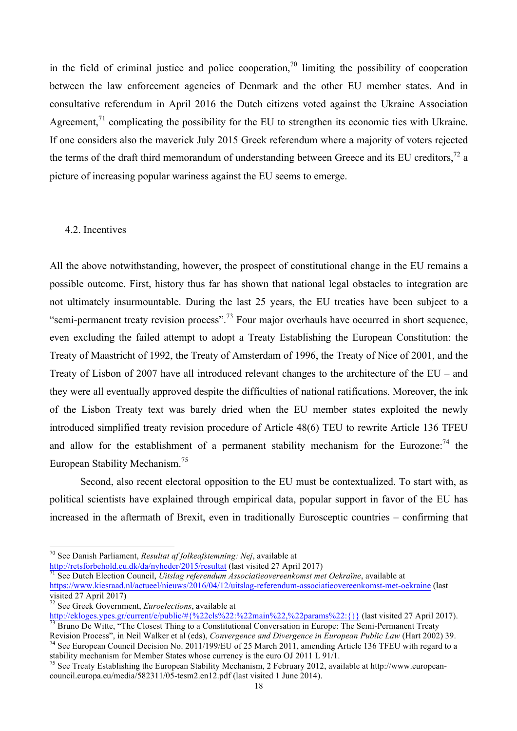in the field of criminal justice and police cooperation,<sup>70</sup> limiting the possibility of cooperation between the law enforcement agencies of Denmark and the other EU member states. And in consultative referendum in April 2016 the Dutch citizens voted against the Ukraine Association Agreement,<sup> $71$ </sup> complicating the possibility for the EU to strengthen its economic ties with Ukraine. If one considers also the maverick July 2015 Greek referendum where a majority of voters rejected the terms of the draft third memorandum of understanding between Greece and its EU creditors.<sup>72</sup> a picture of increasing popular wariness against the EU seems to emerge.

# 4.2. Incentives

All the above notwithstanding, however, the prospect of constitutional change in the EU remains a possible outcome. First, history thus far has shown that national legal obstacles to integration are not ultimately insurmountable. During the last 25 years, the EU treaties have been subject to a "semi-permanent treaty revision process".<sup>73</sup> Four major overhauls have occurred in short sequence, even excluding the failed attempt to adopt a Treaty Establishing the European Constitution: the Treaty of Maastricht of 1992, the Treaty of Amsterdam of 1996, the Treaty of Nice of 2001, and the Treaty of Lisbon of 2007 have all introduced relevant changes to the architecture of the EU – and they were all eventually approved despite the difficulties of national ratifications. Moreover, the ink of the Lisbon Treaty text was barely dried when the EU member states exploited the newly introduced simplified treaty revision procedure of Article 48(6) TEU to rewrite Article 136 TFEU and allow for the establishment of a permanent stability mechanism for the Eurozone:<sup>74</sup> the European Stability Mechanism.<sup>75</sup>

Second, also recent electoral opposition to the EU must be contextualized. To start with, as political scientists have explained through empirical data, popular support in favor of the EU has increased in the aftermath of Brexit, even in traditionally Eurosceptic countries – confirming that

<u> 1989 - Johann Stein, mars an de Brandenburg (b. 1989)</u>

<sup>71</sup> See Dutch Election Council, *Uitslag referendum Associatieovereenkomst met Oekraïne*, available at https://www.kiesraad.nl/actueel/nieuws/2016/04/12/uitslag-referendum-associatieovereenkomst-met-oekraine (last visited 27 April 2017)

stability mechanism for Member States whose currency is the euro OJ 2011 L 91/1.

<sup>70</sup> See Danish Parliament, *Resultat af folkeafstemning: Nej*, available at

<sup>&</sup>lt;sup>72</sup> See Greek Government, *Euroelections*, available at <br>http://ekloges.ypes.gr/current/e/public/#{%22cls%22:%22main%22,%22params%22:{}} (last visited 27 April 2017).

 $\frac{1}{73}$  Bruno De Witte, "The Closest Thing to a Constitutional Conversation in Europe: The Semi-Permanent Treaty<br>Revision Process", in Neil Walker et al (eds), *Convergence and Divergence in European Public Law* (Hart See European Council Decision No. 2011/199/EU of 25 March 2011, amending Article 136 TFEU with regard to a

<sup>&</sup>lt;sup>75</sup> See Treaty Establishing the European Stability Mechanism, 2 February 2012, available at http://www.europeancouncil.europa.eu/media/582311/05-tesm2.en12.pdf (last visited 1 June 2014).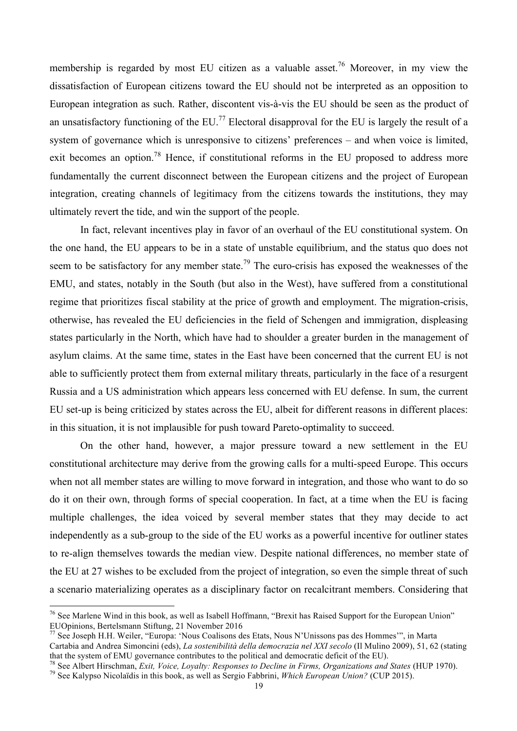membership is regarded by most EU citizen as a valuable asset.<sup>76</sup> Moreover, in my view the dissatisfaction of European citizens toward the EU should not be interpreted as an opposition to European integration as such. Rather, discontent vis-à-vis the EU should be seen as the product of an unsatisfactory functioning of the EU.<sup>77</sup> Electoral disapproval for the EU is largely the result of a system of governance which is unresponsive to citizens' preferences – and when voice is limited, exit becomes an option.<sup>78</sup> Hence, if constitutional reforms in the EU proposed to address more fundamentally the current disconnect between the European citizens and the project of European integration, creating channels of legitimacy from the citizens towards the institutions, they may ultimately revert the tide, and win the support of the people.

In fact, relevant incentives play in favor of an overhaul of the EU constitutional system. On the one hand, the EU appears to be in a state of unstable equilibrium, and the status quo does not seem to be satisfactory for any member state.<sup>79</sup> The euro-crisis has exposed the weaknesses of the EMU, and states, notably in the South (but also in the West), have suffered from a constitutional regime that prioritizes fiscal stability at the price of growth and employment. The migration-crisis, otherwise, has revealed the EU deficiencies in the field of Schengen and immigration, displeasing states particularly in the North, which have had to shoulder a greater burden in the management of asylum claims. At the same time, states in the East have been concerned that the current EU is not able to sufficiently protect them from external military threats, particularly in the face of a resurgent Russia and a US administration which appears less concerned with EU defense. In sum, the current EU set-up is being criticized by states across the EU, albeit for different reasons in different places: in this situation, it is not implausible for push toward Pareto-optimality to succeed.

On the other hand, however, a major pressure toward a new settlement in the EU constitutional architecture may derive from the growing calls for a multi-speed Europe. This occurs when not all member states are willing to move forward in integration, and those who want to do so do it on their own, through forms of special cooperation. In fact, at a time when the EU is facing multiple challenges, the idea voiced by several member states that they may decide to act independently as a sub-group to the side of the EU works as a powerful incentive for outliner states to re-align themselves towards the median view. Despite national differences, no member state of the EU at 27 wishes to be excluded from the project of integration, so even the simple threat of such a scenario materializing operates as a disciplinary factor on recalcitrant members. Considering that

 $76$  See Marlene Wind in this book, as well as Isabell Hoffmann, "Brexit has Raised Support for the European Union"<br>EUOpinions, Bertelsmann Stiftung, 21 November 2016

<sup>&</sup>lt;sup>77</sup> See Joseph H.H. Weiler, "Europa: 'Nous Coalisons des Etats, Nous N'Unissons pas des Hommes'", in Marta Cartabia and Andrea Simoncini (eds), *La sostenibilità della democrazia nel XXI secolo* (Il Mulino 2009), 51, 62 (stating that the system of EMU governance contributes to the political and democratic deficit of the EU).

<sup>&</sup>lt;sup>78</sup> See Albert Hirschman, *Exit, Voice, Loyalty: Responses to Decline in Firms, Organizations and States (HUP 1970).*<br><sup>79</sup> See Kalypso Nicolaïdis in this book, as well as Sergio Fabbrini, *Which European Union?* (CUP 201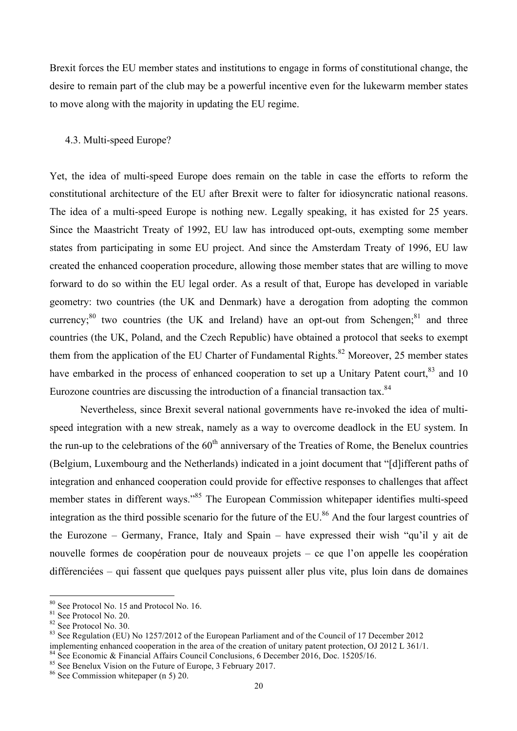Brexit forces the EU member states and institutions to engage in forms of constitutional change, the desire to remain part of the club may be a powerful incentive even for the lukewarm member states to move along with the majority in updating the EU regime.

# 4.3. Multi-speed Europe?

Yet, the idea of multi-speed Europe does remain on the table in case the efforts to reform the constitutional architecture of the EU after Brexit were to falter for idiosyncratic national reasons. The idea of a multi-speed Europe is nothing new. Legally speaking, it has existed for 25 years. Since the Maastricht Treaty of 1992, EU law has introduced opt-outs, exempting some member states from participating in some EU project. And since the Amsterdam Treaty of 1996, EU law created the enhanced cooperation procedure, allowing those member states that are willing to move forward to do so within the EU legal order. As a result of that, Europe has developed in variable geometry: two countries (the UK and Denmark) have a derogation from adopting the common currency;<sup>80</sup> two countries (the UK and Ireland) have an opt-out from Schengen;<sup>81</sup> and three countries (the UK, Poland, and the Czech Republic) have obtained a protocol that seeks to exempt them from the application of the EU Charter of Fundamental Rights.<sup>82</sup> Moreover, 25 member states have embarked in the process of enhanced cooperation to set up a Unitary Patent court, $83$  and 10 Eurozone countries are discussing the introduction of a financial transaction tax. $84$ 

Nevertheless, since Brexit several national governments have re-invoked the idea of multispeed integration with a new streak, namely as a way to overcome deadlock in the EU system. In the run-up to the celebrations of the  $60<sup>th</sup>$  anniversary of the Treaties of Rome, the Benelux countries (Belgium, Luxembourg and the Netherlands) indicated in a joint document that "[d]ifferent paths of integration and enhanced cooperation could provide for effective responses to challenges that affect member states in different ways."<sup>85</sup> The European Commission whitepaper identifies multi-speed integration as the third possible scenario for the future of the  $EU<sup>86</sup>$  And the four largest countries of the Eurozone – Germany, France, Italy and Spain – have expressed their wish "qu'il y ait de nouvelle formes de coopération pour de nouveaux projets – ce que l'on appelle les coopération différenciées – qui fassent que quelques pays puissent aller plus vite, plus loin dans de domaines

 

<sup>&</sup>lt;sup>80</sup> See Protocol No. 15 and Protocol No. 16.<br><sup>81</sup> See Protocol No. 20.<br><sup>82</sup> See Protocol No. 30.<br><sup>83</sup> See Regulation (EU) No 1257/2012 of the European Parliament and of the Council of 17 December 2012 implementing enhanced cooperation in the area of the creation of unitary patent protection, OJ 2012 L 361/1.<br><sup>84</sup> See Economic & Financial Affairs Council Conclusions, 6 December 2016, Doc. 15205/16.

<sup>&</sup>lt;sup>85</sup> See Benelux Vision on the Future of Europe, 3 February 2017.<br><sup>86</sup> See Commission whitepaper (n 5) 20.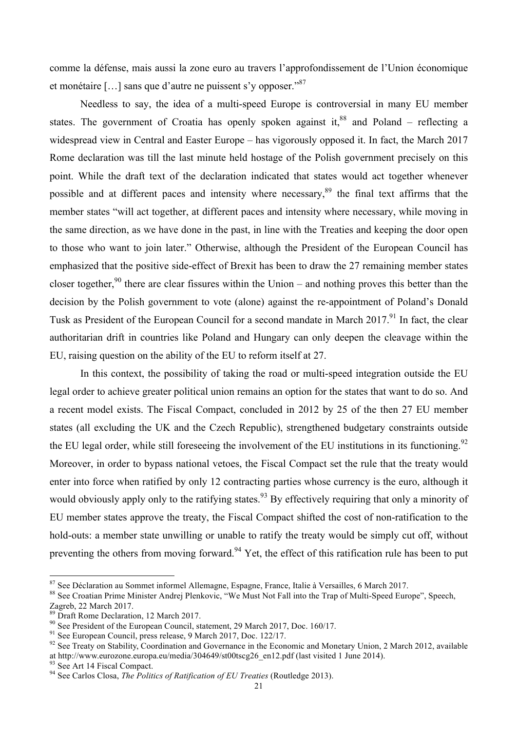comme la défense, mais aussi la zone euro au travers l'approfondissement de l'Union économique et monétaire [...] sans que d'autre ne puissent s'y opposer."<sup>87</sup>

Needless to say, the idea of a multi-speed Europe is controversial in many EU member states. The government of Croatia has openly spoken against it.<sup>88</sup> and Poland – reflecting a widespread view in Central and Easter Europe – has vigorously opposed it. In fact, the March 2017 Rome declaration was till the last minute held hostage of the Polish government precisely on this point. While the draft text of the declaration indicated that states would act together whenever possible and at different paces and intensity where necessary,<sup>89</sup> the final text affirms that the member states "will act together, at different paces and intensity where necessary, while moving in the same direction, as we have done in the past, in line with the Treaties and keeping the door open to those who want to join later." Otherwise, although the President of the European Council has emphasized that the positive side-effect of Brexit has been to draw the 27 remaining member states closer together,<sup>90</sup> there are clear fissures within the Union – and nothing proves this better than the decision by the Polish government to vote (alone) against the re-appointment of Poland's Donald Tusk as President of the European Council for a second mandate in March 2017.<sup>91</sup> In fact, the clear authoritarian drift in countries like Poland and Hungary can only deepen the cleavage within the EU, raising question on the ability of the EU to reform itself at 27.

In this context, the possibility of taking the road or multi-speed integration outside the EU legal order to achieve greater political union remains an option for the states that want to do so. And a recent model exists. The Fiscal Compact, concluded in 2012 by 25 of the then 27 EU member states (all excluding the UK and the Czech Republic), strengthened budgetary constraints outside the EU legal order, while still foreseeing the involvement of the EU institutions in its functioning.<sup>92</sup> Moreover, in order to bypass national vetoes, the Fiscal Compact set the rule that the treaty would enter into force when ratified by only 12 contracting parties whose currency is the euro, although it would obviously apply only to the ratifying states.<sup>93</sup> By effectively requiring that only a minority of EU member states approve the treaty, the Fiscal Compact shifted the cost of non-ratification to the hold-outs: a member state unwilling or unable to ratify the treaty would be simply cut off, without preventing the others from moving forward.<sup>94</sup> Yet, the effect of this ratification rule has been to put

<sup>&</sup>lt;sup>87</sup> See Déclaration au Sommet informel Allemagne, Espagne, France, Italie à Versailles, 6 March 2017.<br><sup>88</sup> See Croatian Prime Minister Andrej Plenkovic, "We Must Not Fall into the Trap of Multi-Speed Europe", Speech, Zagreb, 22 March 2017.<br><sup>89</sup> Draft Rome Declaration, 12 March 2017.

<sup>&</sup>lt;sup>90</sup> See President of the European Council, statement, 29 March 2017, Doc. 160/17.<br><sup>91</sup> See European Council, press release, 9 March 2017, Doc. 122/17.<br><sup>92</sup> See Treaty on Stability, Coordination and Governance in the Econ at http://www.eurozone.europa.eu/media/304649/st00tscg26\_en12.pdf (last visited 1 June 2014).<br><sup>93</sup> See Art 14 Fiscal Compact.

<sup>&</sup>lt;sup>94</sup> See Carlos Closa, *The Politics of Ratification of EU Treaties* (Routledge 2013).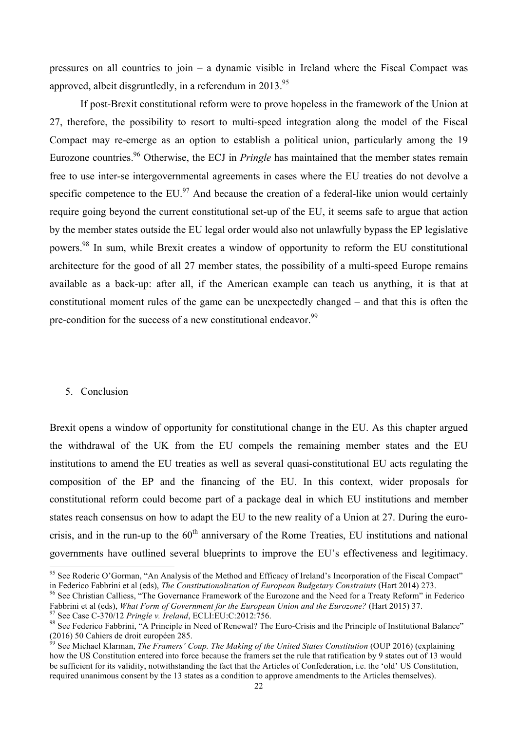pressures on all countries to join – a dynamic visible in Ireland where the Fiscal Compact was approved, albeit disgruntledly, in a referendum in  $2013^{95}$ 

If post-Brexit constitutional reform were to prove hopeless in the framework of the Union at 27, therefore, the possibility to resort to multi-speed integration along the model of the Fiscal Compact may re-emerge as an option to establish a political union, particularly among the 19 Eurozone countries.<sup>96</sup> Otherwise, the ECJ in *Pringle* has maintained that the member states remain free to use inter-se intergovernmental agreements in cases where the EU treaties do not devolve a specific competence to the EU. $97$  And because the creation of a federal-like union would certainly require going beyond the current constitutional set-up of the EU, it seems safe to argue that action by the member states outside the EU legal order would also not unlawfully bypass the EP legislative powers.<sup>98</sup> In sum, while Brexit creates a window of opportunity to reform the EU constitutional architecture for the good of all 27 member states, the possibility of a multi-speed Europe remains available as a back-up: after all, if the American example can teach us anything, it is that at constitutional moment rules of the game can be unexpectedly changed – and that this is often the pre-condition for the success of a new constitutional endeavor.<sup>99</sup>

## 5. Conclusion

<u> 1989 - Johann Barn, mars ann an t-Amhain an t-Amhain an t-Amhain an t-Amhain an t-Amhain an t-Amhain an t-Amh</u>

Brexit opens a window of opportunity for constitutional change in the EU. As this chapter argued the withdrawal of the UK from the EU compels the remaining member states and the EU institutions to amend the EU treaties as well as several quasi-constitutional EU acts regulating the composition of the EP and the financing of the EU. In this context, wider proposals for constitutional reform could become part of a package deal in which EU institutions and member states reach consensus on how to adapt the EU to the new reality of a Union at 27. During the eurocrisis, and in the run-up to the  $60<sup>th</sup>$  anniversary of the Rome Treaties, EU institutions and national governments have outlined several blueprints to improve the EU's effectiveness and legitimacy.

<sup>&</sup>lt;sup>95</sup> See Roderic O'Gorman, "An Analysis of the Method and Efficacy of Ireland's Incorporation of the Fiscal Compact" in Federico Fabbrini et al (eds), *The Constitutionalization of European Budgetary Constraints* (Hart 20

<sup>&</sup>lt;sup>96</sup> See Christian Calliess, "The Governance Framework of the Eurozone and the Need for a Treaty Reform" in Federico Fabbrini et al (eds), *What Form of Government for the European Union and the Eurozone?* (Hart 2015) 37.

<sup>&</sup>lt;sup>97</sup> See Case C-370/12 *Pringle v. Ireland*, ECLI:EU:C:2012:756.<br><sup>98</sup> See Federico Fabbrini, "A Principle in Need of Renewal? The Euro-Crisis and the Principle of Institutional Balance"<br>(2016) 50 Cahiers de droit européen

<sup>&</sup>lt;sup>9</sup> See Michael Klarman, *The Framers' Coup. The Making of the United States Constitution* (OUP 2016) (explaining how the US Constitution entered into force because the framers set the rule that ratification by 9 states out of 13 would be sufficient for its validity, notwithstanding the fact that the Articles of Confederation, i.e. the 'old' US Constitution, required unanimous consent by the 13 states as a condition to approve amendments to the Articles themselves).